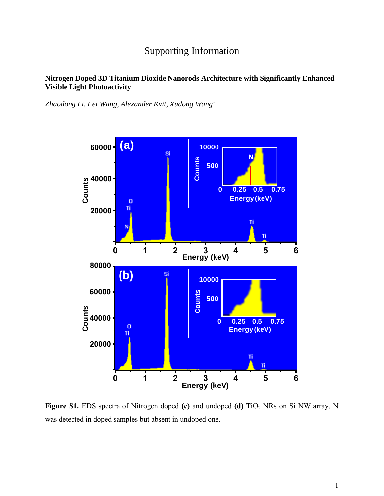## Supporting Information

## **Nitrogen Doped 3D Titanium Dioxide Nanorods Architecture with Significantly Enhanced Visible Light Photoactivity**

*Zhaodong Li, Fei Wang, Alexander Kvit, Xudong Wang\**



**Figure S1.** EDS spectra of Nitrogen doped **(c)** and undoped **(d)** TiO<sub>2</sub> NRs on Si NW array. N was detected in doped samples but absent in undoped one.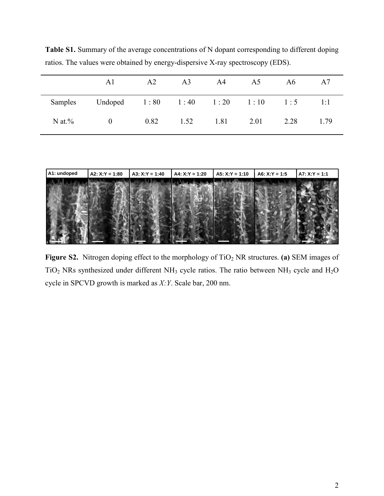**Table S1.** Summary of the average concentrations of N dopant corresponding to different doping ratios. The values were obtained by energy-dispersive X-ray spectroscopy (EDS).

|           | A1                                  | A2          | A <sub>3</sub> | A4        | A5 | A6   | A7   |
|-----------|-------------------------------------|-------------|----------------|-----------|----|------|------|
| Samples   | Undoped 1:80 1:40 1:20 1:10 1:5 1:1 |             |                |           |    |      |      |
| N at $\%$ | $\overline{0}$                      | $0.82$ 1.52 |                | 1.81 2.01 |    | 2.28 | 1.79 |



Figure S2. Nitrogen doping effect to the morphology of TiO<sub>2</sub> NR structures. (a) SEM images of TiO<sub>2</sub> NRs synthesized under different NH<sub>3</sub> cycle ratios. The ratio between NH<sub>3</sub> cycle and H<sub>2</sub>O cycle in SPCVD growth is marked as *X:Y*. Scale bar, 200 nm.